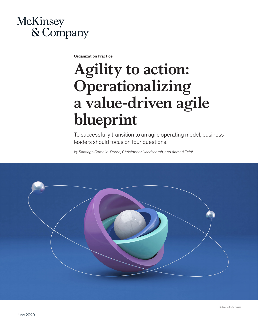## **McKinsey** & Company

Organization Practice

# **Agility to action: Operationalizing a value-driven agile blueprint**

To successfully transition to an agile operating model, business leaders should focus on four questions.

*by Santiago Comella-Dorda, Christopher Handscomb, and Ahmad Zaidi*

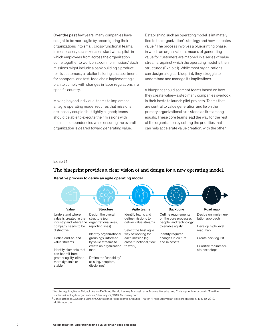Over the past few years, many companies have sought to be more agile by reconfiguring their organizations into small, cross-functional teams. In most cases, such exercises start with a pilot, in which employees from across the organization come together to work on a common mission.<sup>1</sup> Such missions might include a bank building a product for its customers, a retailer tailoring an assortment for shoppers, or a fast-food chain implementing a plan to comply with changes in labor regulations in a specific country.

Moving beyond individual teams to implement an agile operating model requires that missions are loosely coupled but tightly aligned; teams should be able to execute their missions with minimum dependencies while ensuring the overall organization is geared toward generating value.

Establishing such an operating model is intimately tied to the organization's strategy and how it creates value.2 The process involves a blueprinting phase, in which an organization's means of generating value for customers are mapped in a series of value streams, against which the operating model is then structured (Exhibit 1). While most organizations can design a logical blueprint, they struggle to understand and manage its implications.

A blueprint should segment teams based on how they create value—a step many companies overlook in their haste to launch pilot projects. Teams that are central to value generation and lie on the primary organizational axis stand as first among equals. These core teams lead the way for the rest of the organization by setting the priorities that can help accelerate value creation, with the other

#### Exhibit 1

## The blueprint provides a clear vision of and design for a new operating model. **The blueprint provides a clear vision of and design for a new operating model.**

#### Iterative process to derive an agile operating model



<sup>1</sup> Wouter Aghina, Karin Ahlback, Aaron De Smet, Gerald Lackey, Michael Lurie, Monica Murarka, and Christopher Handscomb, "The five trademarks of agile organizations," January 22, 2018, McKinsey.com.

<sup>2</sup> Daniel Brosseau, Sherina Ebrahim, Christopher Handscomb, and Shail Thaker, "The journey to an agile organization," May 10, 2019, McKinsey.com.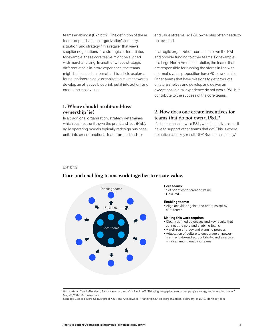teams enabling it (Exhibit 2). The definition of these teams depends on the organization's industry, situation, and strategy.<sup>3</sup> In a retailer that views supplier negotiations as a strategic differentiator, for example, these core teams might be aligned with merchandising. In another whose strategic differentiator is in-store experience, the teams might be focused on formats. This article explores four questions an agile organization must answer to develop an effective blueprint, put it into action, and create the most value.

### **1. Where should profit-and-loss ownership lie?**

In a traditional organization, strategy determines which business units own the profit and loss (P&L). Agile operating models typically redesign business units into cross-functional teams around end-toend value streams, so P&L ownership often needs to be revisited.

In an agile organization, core teams own the P&L and provide funding to other teams. For example, in a large North American retailer, the teams that are responsible for running the stores in line with a format's value proposition have P&L ownership. Other teams that have missions to get products on store shelves and develop and deliver an exceptional digital experience do not own a P&L but contribute to the success of the core teams.

## **2. How does one create incentives for teams that do not own a P&L?**

If a team doesn't own a P&L, what incentives does it have to support other teams that do? This is where objectives and key results (OKRs) come into play.4

#### Exhibit 2  $\mathsf{ExHIDIL}$  2



## Core and enabling teams work together to create value. **Core and enabling teams work together to create value.**

#### Core teams:

- Set priorities for creating value
- Hold P&L

#### Enabling teams:

• Align activities against the priorities set by core teams

#### Making this work requires:

- Clearly defined objectives and key results that connect the core and enabling teams
- A well-run strategy and planning process
- Adaptation of culture to encourage empowerment, end-to-end accountability, and a service mindset among enabling teams

<sup>&</sup>lt;sup>3</sup> Harris Atmar, Camilo Becdach, Sarah Kleinman, and Kirk Rieckhoff, "Bridging the gap between a company's strategy and operating model," May 23, 2019, McKinsey.com.

<sup>4</sup> Santiago Comella-Dorda, Khushpreet Kaur, and Ahmad Zaidi, "Planning in an agile organization," February 19, 2019, McKinsey.com.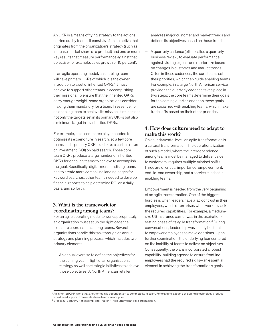An OKR is a means of tying strategy to the actions carried out by teams. It consists of an objective that originates from the organization's strategy (such as increase market share of a product) and one or more key results that measure performance against that objective (for example, sales growth of 10 percent).

In an agile operating model, an enabling team will have primary OKRs of which it is the owner, in addition to a set of inherited OKRs<sup>5</sup> it must achieve to support other teams in accomplishing their missions. To ensure that the inherited OKRs carry enough weight, some organizations consider making them mandatory for a team. In essence, for an enabling team to achieve its mission, it must meet not only the targets set in its primary OKRs but also a minimum target in its inherited OKRs.

For example, an e-commerce player needed to optimize its expenditure in search, so a few core teams had a primary OKR to achieve a certain return on investment (ROI) on paid search. Those core team OKRs produce a large number of inherited OKRs for enabling teams to achieve to accomplish the goal. Specifically, digital merchandising teams had to create more compelling landing pages for keyword searches, other teams needed to develop financial reports to help determine ROI on a daily basis, and so forth.

## **3. What is the framework for coordinating among teams?**

For an agile operating model to work appropriately, an organization must set up the right cadence to ensure coordination among teams. Several organizations handle this task through an annual strategy and planning process, which includes two primary elements:

— An annual exercise to define the objectives for the coming year in light of an organization's strategy as well as strategic initiatives to achieve those objectives. A North American retailer

analyzes major customer and market trends and defines its objectives based on those trends.

— A quarterly cadence (often called a quarterly business review) to evaluate performance against strategic goals and reprioritize based on changes in customer and market trends. Often in these cadences, the core teams set their priorities, which then guide enabling teams. For example, in a large North American service provider, the quarterly cadence takes place in two steps: the core teams determine their goals for the coming quarter, and then these goals are socialized with enabling teams, which make trade-offs based on their other priorities.

## **4. How does culture need to adapt to make this work?**

On a fundamental level, an agile transformation is a cultural transformation. The operationalization of such a model, where the interdependence among teams must be managed to deliver value to customers, requires multiple mindset shifts. Three are of critical importance: empowerment, end-to-end ownership, and a service mindset in enabling teams.

Empowerment is needed from the very beginning of an agile transformation. One of the biggest hurdles is when leaders have a lack of trust in their employees, which often arises when workers lack the required capabilities. For example, a mediumsize US insurance carrier was in the aspirationsetting phase of its agile transformation.<sup>6</sup> During conversations, leadership was clearly hesitant to empower employees to make decisions. Upon further examination, the underlying fear centered on the inability of teams to deliver on objectives. Consequently, the plans incorporated a robust capability-building agenda to ensure frontline employees had the required skills—an essential element in achieving the transformation's goals.

<sup>&</sup>lt;sup>5</sup> An inherited OKR is one that another team is dependent on to complete its mission. For example, a team developing a technology product would need support from a sales team to ensure adoption.

<sup>6</sup> Brosseau, Ebrahim, Handscomb, and Thaker, "The journey to an agile organization."